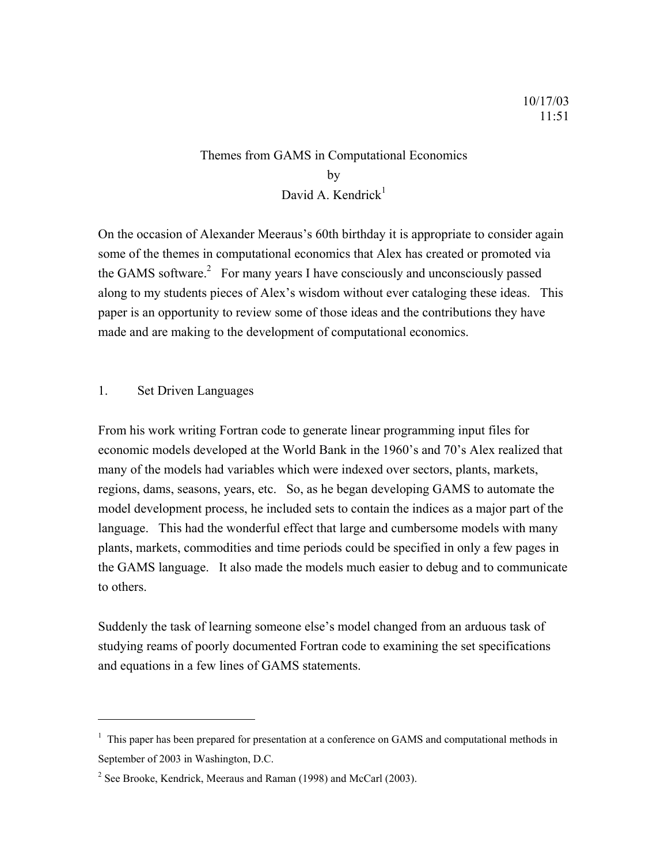# Themes from GAMS in Computational Economics by David A. Kendrick $<sup>1</sup>$  $<sup>1</sup>$  $<sup>1</sup>$ </sup>

On the occasion of Alexander Meeraus's 60th birthday it is appropriate to consider again some of the themes in computational economics that Alex has created or promoted via the GAMS software. $^{2}$  $^{2}$  $^{2}$  For many years I have consciously and unconsciously passed along to my students pieces of Alex's wisdom without ever cataloging these ideas. This paper is an opportunity to review some of those ideas and the contributions they have made and are making to the development of computational economics.

### 1. Set Driven Languages

 $\overline{a}$ 

From his work writing Fortran code to generate linear programming input files for economic models developed at the World Bank in the 1960's and 70's Alex realized that many of the models had variables which were indexed over sectors, plants, markets, regions, dams, seasons, years, etc. So, as he began developing GAMS to automate the model development process, he included sets to contain the indices as a major part of the language. This had the wonderful effect that large and cumbersome models with many plants, markets, commodities and time periods could be specified in only a few pages in the GAMS language. It also made the models much easier to debug and to communicate to others.

Suddenly the task of learning someone else's model changed from an arduous task of studying reams of poorly documented Fortran code to examining the set specifications and equations in a few lines of GAMS statements.

<span id="page-0-0"></span><sup>&</sup>lt;sup>1</sup> This paper has been prepared for presentation at a conference on GAMS and computational methods in September of 2003 in Washington, D.C.

<span id="page-0-1"></span><sup>&</sup>lt;sup>2</sup> See Brooke, Kendrick, Meeraus and Raman (1998) and McCarl (2003).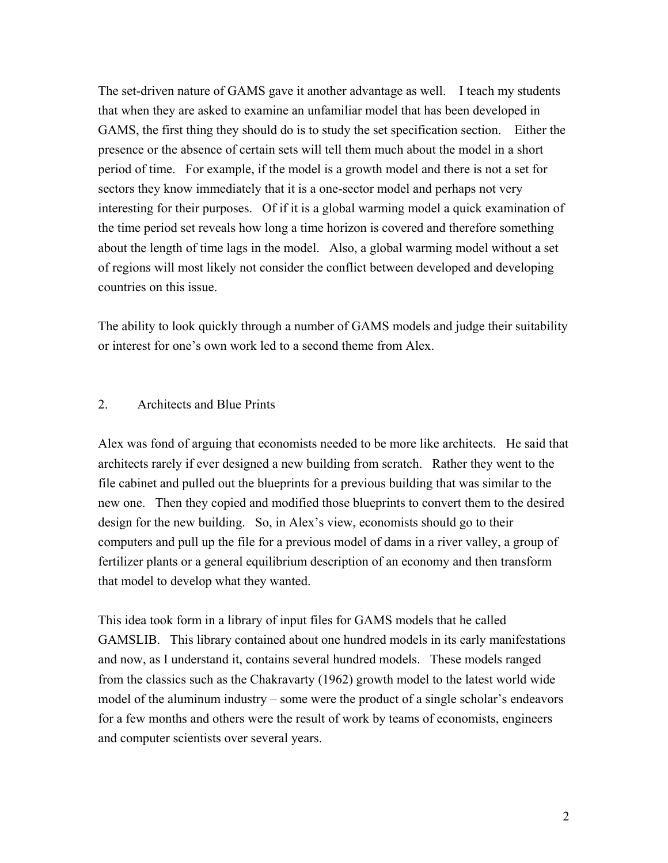The set-driven nature of GAMS gave it another advantage as well. I teach my students that when they are asked to examine an unfamiliar model that has been developed in GAMS, the first thing they should do is to study the set specification section. Either the presence or the absence of certain sets will tell them much about the model in a short period of time. For example, if the model is a growth model and there is not a set for sectors they know immediately that it is a one-sector model and perhaps not very interesting for their purposes. Of if it is a global warming model a quick examination of the time period set reveals how long a time horizon is covered and therefore something about the length of time lags in the model. Also, a global warming model without a set of regions will most likely not consider the conflict between developed and developing countries on this issue.

The ability to look quickly through a number of GAMS models and judge their suitability or interest for one's own work led to a second theme from Alex.

### 2. Architects and Blue Prints

Alex was fond of arguing that economists needed to be more like architects. He said that architects rarely if ever designed a new building from scratch. Rather they went to the file cabinet and pulled out the blueprints for a previous building that was similar to the new one. Then they copied and modified those blueprints to convert them to the desired design for the new building. So, in Alex's view, economists should go to their computers and pull up the file for a previous model of dams in a river valley, a group of fertilizer plants or a general equilibrium description of an economy and then transform that model to develop what they wanted.

This idea took form in a library of input files for GAMS models that he called GAMSLIB. This library contained about one hundred models in its early manifestations and now, as I understand it, contains several hundred models. These models ranged from the classics such as the Chakravarty (1962) growth model to the latest world wide model of the aluminum industry – some were the product of a single scholar's endeavors for a few months and others were the result of work by teams of economists, engineers and computer scientists over several years.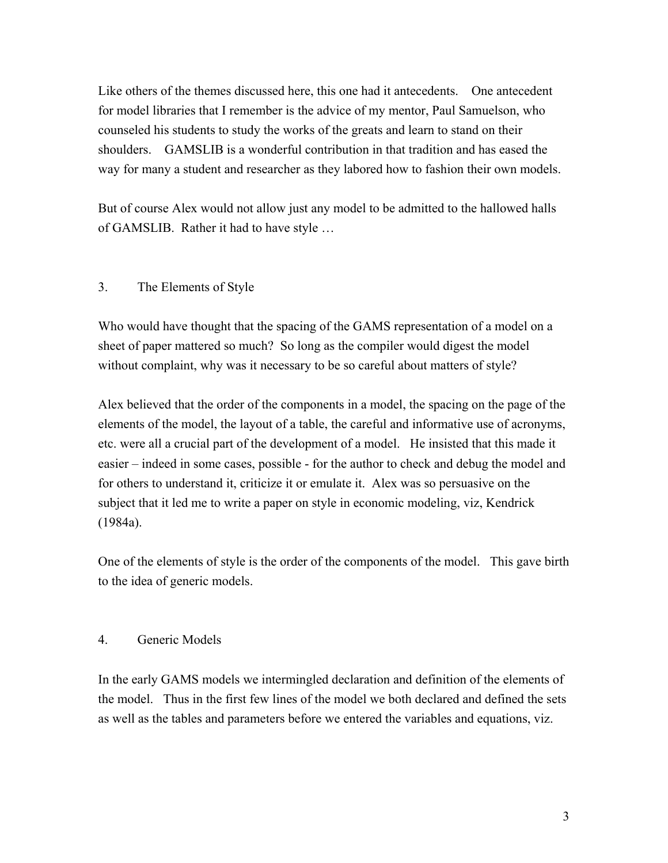Like others of the themes discussed here, this one had it antecedents. One antecedent for model libraries that I remember is the advice of my mentor, Paul Samuelson, who counseled his students to study the works of the greats and learn to stand on their shoulders. GAMSLIB is a wonderful contribution in that tradition and has eased the way for many a student and researcher as they labored how to fashion their own models.

But of course Alex would not allow just any model to be admitted to the hallowed halls of GAMSLIB. Rather it had to have style …

## 3. The Elements of Style

Who would have thought that the spacing of the GAMS representation of a model on a sheet of paper mattered so much? So long as the compiler would digest the model without complaint, why was it necessary to be so careful about matters of style?

Alex believed that the order of the components in a model, the spacing on the page of the elements of the model, the layout of a table, the careful and informative use of acronyms, etc. were all a crucial part of the development of a model. He insisted that this made it easier – indeed in some cases, possible - for the author to check and debug the model and for others to understand it, criticize it or emulate it. Alex was so persuasive on the subject that it led me to write a paper on style in economic modeling, viz, Kendrick (1984a).

One of the elements of style is the order of the components of the model. This gave birth to the idea of generic models.

### 4. Generic Models

In the early GAMS models we intermingled declaration and definition of the elements of the model. Thus in the first few lines of the model we both declared and defined the sets as well as the tables and parameters before we entered the variables and equations, viz.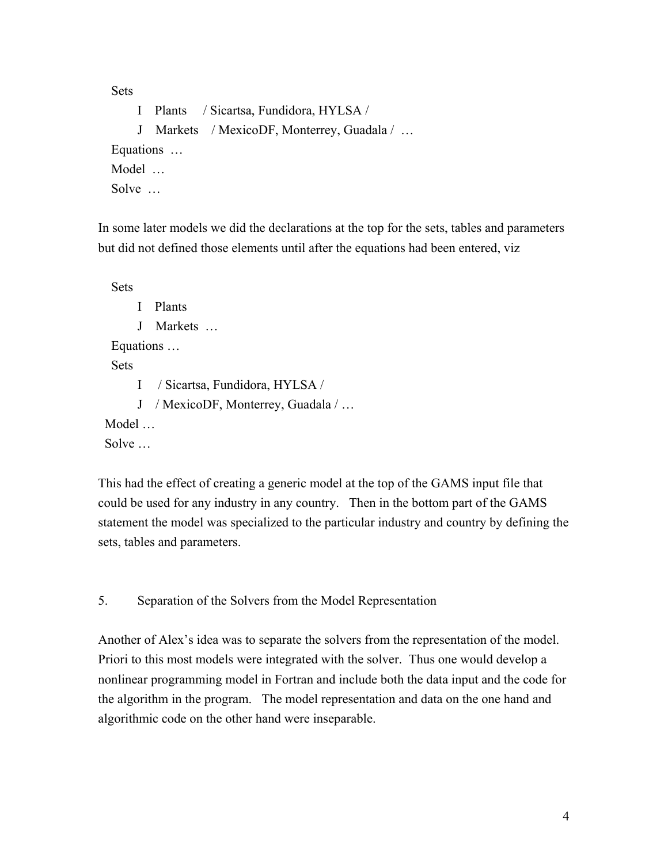Sets

I Plants / Sicartsa, Fundidora, HYLSA / J Markets / MexicoDF, Monterrey, Guadala / … Equations … Model … Solve …

In some later models we did the declarations at the top for the sets, tables and parameters but did not defined those elements until after the equations had been entered, viz

 Sets I Plants J Markets … Equations … **Sets** I / Sicartsa, Fundidora, HYLSA / J / MexicoDF, Monterrey, Guadala / … Model …

Solve …

This had the effect of creating a generic model at the top of the GAMS input file that could be used for any industry in any country. Then in the bottom part of the GAMS statement the model was specialized to the particular industry and country by defining the sets, tables and parameters.

5. Separation of the Solvers from the Model Representation

Another of Alex's idea was to separate the solvers from the representation of the model. Priori to this most models were integrated with the solver. Thus one would develop a nonlinear programming model in Fortran and include both the data input and the code for the algorithm in the program. The model representation and data on the one hand and algorithmic code on the other hand were inseparable.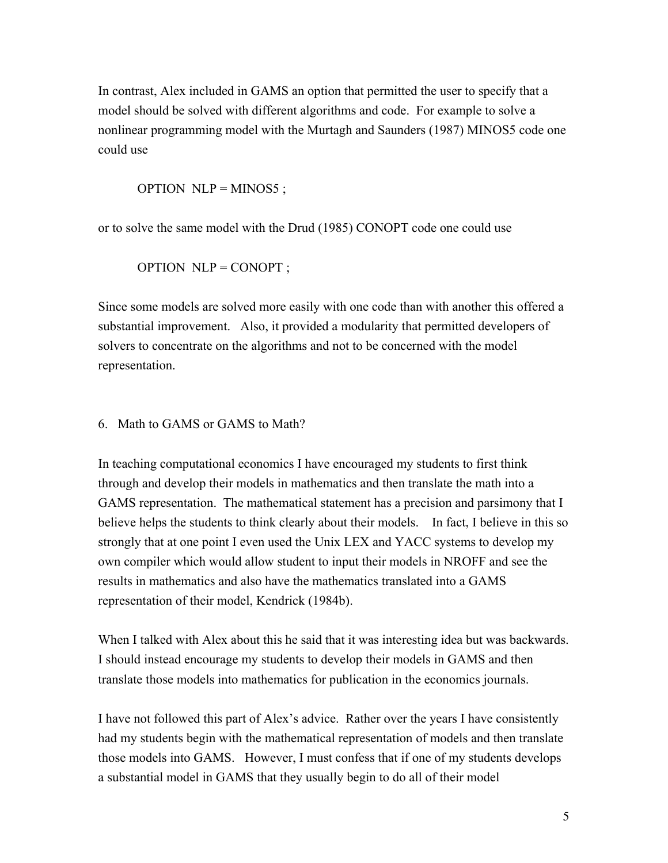In contrast, Alex included in GAMS an option that permitted the user to specify that a model should be solved with different algorithms and code. For example to solve a nonlinear programming model with the Murtagh and Saunders (1987) MINOS5 code one could use

OPTION  $NLP = MINOS5$ ;

or to solve the same model with the Drud (1985) CONOPT code one could use

OPTION NLP = CONOPT ;

Since some models are solved more easily with one code than with another this offered a substantial improvement. Also, it provided a modularity that permitted developers of solvers to concentrate on the algorithms and not to be concerned with the model representation.

#### 6. Math to GAMS or GAMS to Math?

In teaching computational economics I have encouraged my students to first think through and develop their models in mathematics and then translate the math into a GAMS representation. The mathematical statement has a precision and parsimony that I believe helps the students to think clearly about their models. In fact, I believe in this so strongly that at one point I even used the Unix LEX and YACC systems to develop my own compiler which would allow student to input their models in NROFF and see the results in mathematics and also have the mathematics translated into a GAMS representation of their model, Kendrick (1984b).

When I talked with Alex about this he said that it was interesting idea but was backwards. I should instead encourage my students to develop their models in GAMS and then translate those models into mathematics for publication in the economics journals.

I have not followed this part of Alex's advice. Rather over the years I have consistently had my students begin with the mathematical representation of models and then translate those models into GAMS. However, I must confess that if one of my students develops a substantial model in GAMS that they usually begin to do all of their model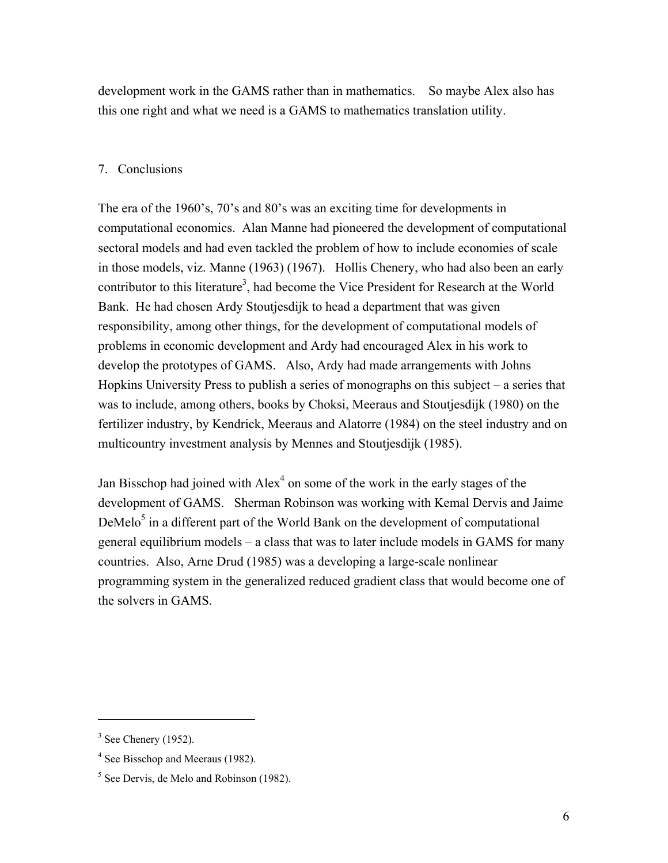development work in the GAMS rather than in mathematics. So maybe Alex also has this one right and what we need is a GAMS to mathematics translation utility.

### 7. Conclusions

The era of the 1960's, 70's and 80's was an exciting time for developments in computational economics. Alan Manne had pioneered the development of computational sectoral models and had even tackled the problem of how to include economies of scale in those models, viz. Manne (1963) (1967). Hollis Chenery, who had also been an early contributor to this literature<sup>3</sup>, had become the Vice President for Research at the World Bank. He had chosen Ardy Stoutjesdijk to head a department that was given responsibility, among other things, for the development of computational models of problems in economic development and Ardy had encouraged Alex in his work to develop the prototypes of GAMS. Also, Ardy had made arrangements with Johns Hopkins University Press to publish a series of monographs on this subject – a series that was to include, among others, books by Choksi, Meeraus and Stoutjesdijk (1980) on the fertilizer industry, by Kendrick, Meeraus and Alatorre (1984) on the steel industry and on multicountry investment analysis by Mennes and Stoutjesdijk (1985).

Jan Bisschop had joined with  $Alex<sup>4</sup>$  on some of the work in the early stages of the development of GAMS. Sherman Robinson was working with Kemal Dervis and Jaime DeMelo $5$  in a different part of the World Bank on the development of computational general equilibrium models – a class that was to later include models in GAMS for many countries. Also, Arne Drud (1985) was a developing a large-scale nonlinear programming system in the generalized reduced gradient class that would become one of the solvers in GAMS.

 $\overline{a}$ 

<span id="page-5-0"></span> $3$  See Chenery (1952).

<span id="page-5-1"></span><sup>&</sup>lt;sup>4</sup> See Bisschop and Meeraus (1982).

<span id="page-5-2"></span><sup>&</sup>lt;sup>5</sup> See Dervis, de Melo and Robinson (1982).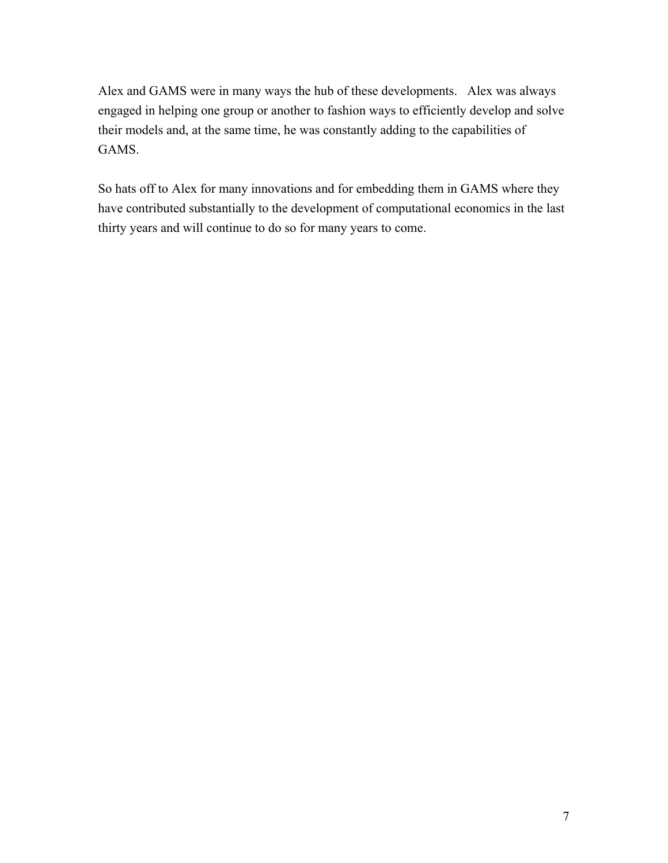Alex and GAMS were in many ways the hub of these developments. Alex was always engaged in helping one group or another to fashion ways to efficiently develop and solve their models and, at the same time, he was constantly adding to the capabilities of GAMS.

So hats off to Alex for many innovations and for embedding them in GAMS where they have contributed substantially to the development of computational economics in the last thirty years and will continue to do so for many years to come.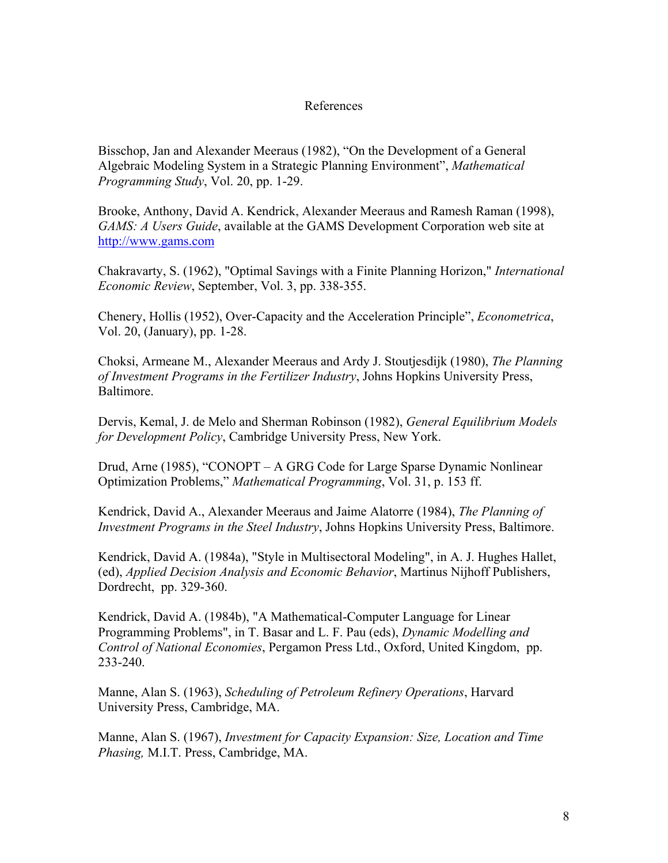#### References

Bisschop, Jan and Alexander Meeraus (1982), "On the Development of a General Algebraic Modeling System in a Strategic Planning Environment", *Mathematical Programming Study*, Vol. 20, pp. 1-29.

Brooke, Anthony, David A. Kendrick, Alexander Meeraus and Ramesh Raman (1998), *GAMS: A Users Guide*, available at the GAMS Development Corporation web site at [http://www.gams.com](http://www.gams.com/)

Chakravarty, S. (1962), "Optimal Savings with a Finite Planning Horizon," *International Economic Review*, September, Vol. 3, pp. 338-355.

Chenery, Hollis (1952), Over-Capacity and the Acceleration Principle", *Econometrica*, Vol. 20, (January), pp. 1-28.

Choksi, Armeane M., Alexander Meeraus and Ardy J. Stoutjesdijk (1980), *The Planning of Investment Programs in the Fertilizer Industry*, Johns Hopkins University Press, Baltimore.

Dervis, Kemal, J. de Melo and Sherman Robinson (1982), *General Equilibrium Models for Development Policy*, Cambridge University Press, New York.

Drud, Arne (1985), "CONOPT – A GRG Code for Large Sparse Dynamic Nonlinear Optimization Problems," *Mathematical Programming*, Vol. 31, p. 153 ff.

Kendrick, David A., Alexander Meeraus and Jaime Alatorre (1984), *The Planning of Investment Programs in the Steel Industry*, Johns Hopkins University Press, Baltimore.

Kendrick, David A. (1984a), "Style in Multisectoral Modeling", in A. J. Hughes Hallet, (ed), *Applied Decision Analysis and Economic Behavior*, Martinus Nijhoff Publishers, Dordrecht, pp. 329-360.

Kendrick, David A. (1984b), "A Mathematical-Computer Language for Linear Programming Problems", in T. Basar and L. F. Pau (eds), *Dynamic Modelling and Control of National Economies*, Pergamon Press Ltd., Oxford, United Kingdom, pp. 233-240.

Manne, Alan S. (1963), *Scheduling of Petroleum Refinery Operations*, Harvard University Press, Cambridge, MA.

Manne, Alan S. (1967), *Investment for Capacity Expansion: Size, Location and Time Phasing,* M.I.T. Press, Cambridge, MA.